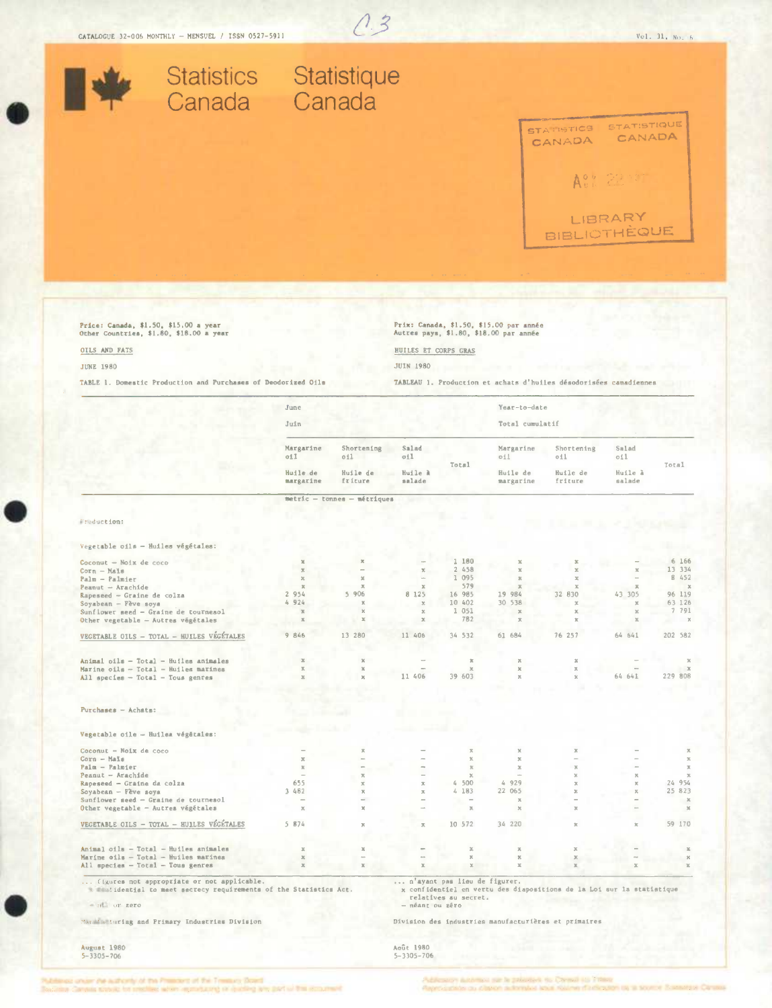

Price: Canada, \$1.50, \$15.00 a year<br>Other Countries, \$1.80, \$18.00 a year

## OILS AND FATS

**JUNE 1980** 

TABLE 1. Domestic Production and Purchases of Deodorized Oils

Prix: Canada, \$1.50, \$15.00 par année<br>Autres pays, \$1.80, \$18.00 par année

HUILES ET CORPS GRAS

**JUIN 1980** 

TABLEAU 1. Production et achats d'huiles désodorisées canadiennes

|                                                                                                                  | June                      |                               |                               |                                                      | Year-to-date              |                                                                       |                         |                        |
|------------------------------------------------------------------------------------------------------------------|---------------------------|-------------------------------|-------------------------------|------------------------------------------------------|---------------------------|-----------------------------------------------------------------------|-------------------------|------------------------|
|                                                                                                                  | Juin                      |                               |                               |                                                      | Total cumulatif           |                                                                       |                         |                        |
|                                                                                                                  | Margarine<br>oil          | Shortening<br>011             | Salad<br>oil                  |                                                      | Margarine<br>011          | Shortening<br>oil                                                     | Salad<br>oil            |                        |
|                                                                                                                  | Huile de<br>margatine     | Huile de<br>fríture           | Huile a<br>salade             | Total                                                | Huile de<br>margarine     | Huile de<br>friture                                                   | Huile à<br>salade       | Total                  |
|                                                                                                                  |                           | $metric - tonnes - métriques$ |                               |                                                      |                           |                                                                       |                         |                        |
|                                                                                                                  |                           |                               |                               |                                                      |                           |                                                                       |                         |                        |
| Freduction:                                                                                                      |                           |                               |                               |                                                      |                           |                                                                       |                         |                        |
| Vegetable oils - Huiles végétales:                                                                               |                           |                               |                               |                                                      |                           |                                                                       |                         |                        |
| Coconut - Noix de coco                                                                                           | $\mathbb{X}$              | $\mathbf x$                   |                               | 1 180                                                |                           |                                                                       |                         | 6 166                  |
| $Corn - Mals$                                                                                                    | $\boldsymbol{\times}$     |                               | $\mathbf x$                   | 2 458                                                | $\mathbf{x}$              | $\mathbf{x}$                                                          | $\mathbf{x}$            | 13 334                 |
| Palm - Palmier                                                                                                   | $\rm X$                   | $\mathbb{M}$                  |                               | 1 095                                                | $\mathbb{R}$              | $2\zeta$                                                              |                         | B 452                  |
| Peanut - Arachide                                                                                                | $\mathbb{R}$              | $\overline{\mathcal{H}}$      | $\mathbbm{R}$                 | 579                                                  | $\mathcal{R}$             | $\mathbb{R}^2$                                                        | $\mathcal{R}$           | $\mathbb{X}$           |
| Rapeseed - Graine de colza                                                                                       | 2 9 5 4                   | 5 906                         | 8 125                         | 16 985                                               | 19 984                    | 32 830                                                                | 43 305                  | 96 119                 |
| Soyabean - Pève soya                                                                                             | 4 924                     | x                             | $\boldsymbol{\chi}$           | 10 402                                               | 30 538                    | $\chi$                                                                | $\propto$               | 63 126                 |
| Sunflower seed - Graine de tournesol                                                                             | $\mathbb{X}$              | x                             | $\mathbb{X}$                  | 1 051                                                | $\mathbf x$               | x                                                                     | $20$                    | 7 791                  |
| Other vegetable - Autres végétales                                                                               | $\mathbb{X}$              | $\mathcal{M}_i$               | $\boldsymbol{\times}$         | 782                                                  | $\mathcal{K}$             | $\mathbf{x}$                                                          | $\mathbb{M}$            | $ \times$              |
| VEGETABLE OILS - TOTAL - HUILES VEGÉTALES                                                                        | 9 846                     | 13 280                        | 11 406                        | 34 532                                               | 61 684                    | 76 257                                                                | 64 641                  | 202 582                |
| Animal oils - Total - Huiles animales                                                                            | $\mathbb{X}$              | $\mathbbm{K}$                 |                               | $\mathbbm{K}$                                        | $\mathbbm{Z}$             | $\mathbb{R}$                                                          |                         | $\mathbf x$            |
| Marine oils - Total - Huiles marines                                                                             | $\mathbf{x}$              | $\mathbf{x}$                  |                               | $\mathbf x$                                          | $\mathbb{X}$              | $\mathbf x$                                                           |                         | $\mathcal{X}$          |
| All species - Total - Tous genres                                                                                | $\mathbf{x}$              | $\mathbf{x}$                  | 11 406                        | 39 603                                               | $\mathbf x$               | $\mathbb{X}$                                                          | 64 641                  | 229 808                |
|                                                                                                                  |                           |                               |                               |                                                      |                           |                                                                       |                         |                        |
| $P$ urchases - Achats:                                                                                           |                           |                               |                               |                                                      |                           |                                                                       |                         |                        |
|                                                                                                                  |                           |                               |                               |                                                      |                           |                                                                       |                         |                        |
| Vegetable oile -- Huilea végétales:                                                                              |                           |                               |                               |                                                      |                           |                                                                       |                         |                        |
| Coconut - Noix de coco                                                                                           |                           | $\mathbb{R}$                  |                               | $\mathbf x$                                          | $\boldsymbol{\mathsf{X}}$ | $\mathbf{x}$                                                          |                         | $\rm \chi$             |
| $Corn - Maxs$                                                                                                    | $\mathcal{R}$             |                               |                               | $\mathbf x$                                          | $\propto$                 |                                                                       |                         | $\mathbf{x}$           |
| Palm - Palmier                                                                                                   | $\overline{\mathcal{H}}$  | $\overline{\phantom{a}}$      | ۰                             | $\mathbb{H}$                                         | $\mathbbm{Z}$             | $\mathbf{x}$                                                          |                         | $\mathbbm{R}$          |
| Peanut - Arachide                                                                                                | $\sim$<br>655             | $\mathbf{X}$<br>$\mathbf x$   | $\mathbf x$                   | $\boldsymbol{\chi}$<br>4 500                         | $\sim$<br>4 929           | $\mathbf{x}$<br>$\mathbf{x}$                                          | ×<br>×                  | $\mathbf{x}$<br>24 954 |
| Rapeseed - Graine da colza                                                                                       | 3 482                     | $\mathbb{X}$                  | $\mathcal{R}$                 | 4 183                                                | 22 065                    | $\mathbb{X}$                                                          | $\%$                    | 25 823                 |
| Soyabean - Feve soya<br>Sunflower seed - Graine de tournesol                                                     |                           |                               |                               |                                                      | $\mathbf x$               |                                                                       |                         | $\mathbb{X}$           |
| Other vegetable - Autres végétales                                                                               | $\propto$                 | $\mathbb{X}$                  |                               | $\mathbf{x}$                                         | $\mathbb{X}$              | $\mathbb{M}$                                                          |                         | $\mathbbm{M}$          |
| VEGETABLE OILS - TOTAL - HUILES VÉGÉTALES                                                                        | 5 874                     | $\mathbf{x}$                  | ж                             | 10 572                                               | 34 220                    | $\mathbb{R}$                                                          | $\overline{\mathbf{x}}$ | 59 170                 |
|                                                                                                                  |                           |                               |                               |                                                      |                           |                                                                       |                         |                        |
| Animal oils - Total - Huiles animales                                                                            | $\boldsymbol{\mathbb{X}}$ | x                             |                               | $\mathbb{X}$                                         | $\rm \%$                  | $\boldsymbol{\mathrm{x}}$                                             |                         | $\mathbb{X}$           |
| Marine oils - Total - Huiles marines                                                                             | $\mathbf{x}$              |                               |                               | $\mathbf{x}$                                         | $\mathbb{X}$              | $\mathbb X$                                                           |                         | $\propto$              |
| All species - Total - Tous genres                                                                                | $\mathbb{X}$              | $\mathbbm{K}$                 | x                             | $\%$                                                 | $\mathcal{M}_i$           | $\mathbf x$                                                           | $\overline{\mathbf{x}}$ | $\mathbf{x}$           |
| (igures not appropriate or not applicable.<br>w maniideatial to meet secrecy requirements of the Statistics Act. |                           |                               |                               | n'ayant pas lieu de figurer.<br>relatives au secret. |                           | x confidentiel en vertu des diapositions de la Loi sur la statistique |                         |                        |
| - Hill or gero                                                                                                   |                           |                               | - néant ou zéro               |                                                      |                           |                                                                       |                         |                        |
| Manufacturing and Primary Industrias Division                                                                    |                           |                               |                               |                                                      |                           | Division des industries manufacturières et primaires                  |                         |                        |
| August 1980<br>$5 - 3205 - 206$                                                                                  |                           |                               | Août 1980<br>$5 - 2305 - 706$ |                                                      |                           |                                                                       |                         |                        |